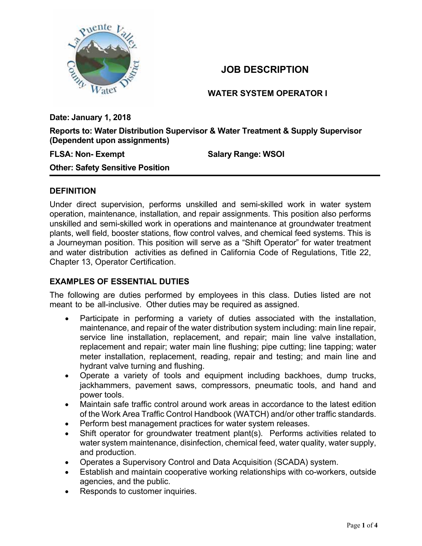

# **JOB DESCRIPTION**

**WATER SYSTEM OPERATOR I** 

**Date: January 1, 2018** 

**Reports to: Water Distribution Supervisor & Water Treatment & Supply Supervisor (Dependent upon assignments)** 

### **FLSA: Non- Exempt Salary Range: WSOI**

**Other: Safety Sensitive Position** 

### **DEFINITION**

Under direct supervision, performs unskilled and semi-skilled work in water system operation, maintenance, installation, and repair assignments. This position also performs unskilled and semi-skilled work in operations and maintenance at groundwater treatment plants, well field, booster stations, flow control valves, and chemical feed systems. This is a Journeyman position. This position will serve as a "Shift Operator" for water treatment and water distribution activities as defined in California Code of Regulations, Title 22, Chapter 13, Operator Certification.

## **EXAMPLES OF ESSENTIAL DUTIES**

The following are duties performed by employees in this class. Duties listed are not meant to be all-inclusive. Other duties may be required as assigned.

- Participate in performing a variety of duties associated with the installation, maintenance, and repair of the water distribution system including: main line repair, service line installation, replacement, and repair; main line valve installation, replacement and repair; water main line flushing; pipe cutting; line tapping; water meter installation, replacement, reading, repair and testing; and main line and hydrant valve turning and flushing.
- Operate a variety of tools and equipment including backhoes, dump trucks, jackhammers, pavement saws, compressors, pneumatic tools, and hand and power tools.
- Maintain safe traffic control around work areas in accordance to the latest edition of the Work Area Traffic Control Handbook (WATCH) and/or other traffic standards.
- Perform best management practices for water system releases.
- Shift operator for groundwater treatment plant(s). Performs activities related to water system maintenance, disinfection, chemical feed, water quality, water supply, and production.
- Operates a Supervisory Control and Data Acquisition (SCADA) system.
- Establish and maintain cooperative working relationships with co-workers, outside agencies, and the public.
- Responds to customer inquiries.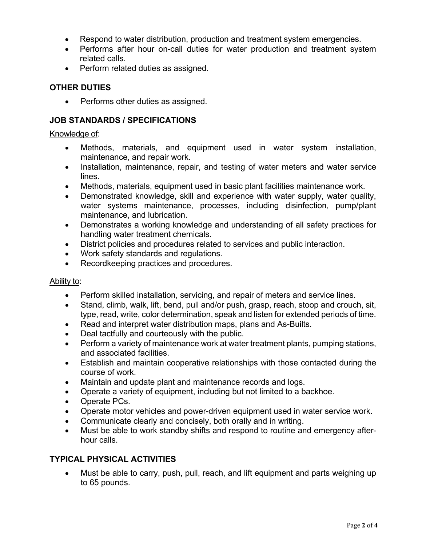- Respond to water distribution, production and treatment system emergencies.
- Performs after hour on-call duties for water production and treatment system related calls.
- Perform related duties as assigned.

### **OTHER DUTIES**

• Performs other duties as assigned.

### **JOB STANDARDS / SPECIFICATIONS**

#### Knowledge of:

- Methods, materials, and equipment used in water system installation, maintenance, and repair work.
- Installation, maintenance, repair, and testing of water meters and water service lines.
- Methods, materials, equipment used in basic plant facilities maintenance work.
- Demonstrated knowledge, skill and experience with water supply, water quality, water systems maintenance, processes, including disinfection, pump/plant maintenance, and lubrication.
- Demonstrates a working knowledge and understanding of all safety practices for handling water treatment chemicals.
- District policies and procedures related to services and public interaction.
- Work safety standards and regulations.
- Recordkeeping practices and procedures.

#### Ability to:

- Perform skilled installation, servicing, and repair of meters and service lines.
- Stand, climb, walk, lift, bend, pull and/or push, grasp, reach, stoop and crouch, sit, type, read, write, color determination, speak and listen for extended periods of time.
- Read and interpret water distribution maps, plans and As-Builts.
- Deal tactfully and courteously with the public.
- Perform a variety of maintenance work at water treatment plants, pumping stations, and associated facilities.
- Establish and maintain cooperative relationships with those contacted during the course of work.
- Maintain and update plant and maintenance records and logs.
- Operate a variety of equipment, including but not limited to a backhoe.
- Operate PCs.
- Operate motor vehicles and power-driven equipment used in water service work.
- Communicate clearly and concisely, both orally and in writing.
- Must be able to work standby shifts and respond to routine and emergency afterhour calls.

## **TYPICAL PHYSICAL ACTIVITIES**

 Must be able to carry, push, pull, reach, and lift equipment and parts weighing up to 65 pounds.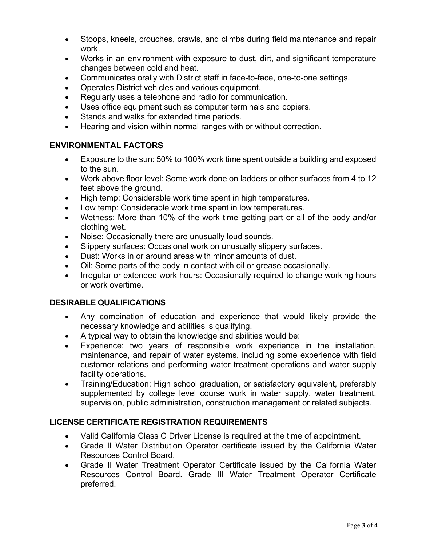- Stoops, kneels, crouches, crawls, and climbs during field maintenance and repair work.
- Works in an environment with exposure to dust, dirt, and significant temperature changes between cold and heat.
- Communicates orally with District staff in face-to-face, one-to-one settings.
- Operates District vehicles and various equipment.
- Regularly uses a telephone and radio for communication.
- Uses office equipment such as computer terminals and copiers.
- Stands and walks for extended time periods.
- Hearing and vision within normal ranges with or without correction.

## **ENVIRONMENTAL FACTORS**

- Exposure to the sun: 50% to 100% work time spent outside a building and exposed to the sun.
- Work above floor level: Some work done on ladders or other surfaces from 4 to 12 feet above the ground.
- High temp: Considerable work time spent in high temperatures.
- Low temp: Considerable work time spent in low temperatures.
- Wetness: More than 10% of the work time getting part or all of the body and/or clothing wet.
- Noise: Occasionally there are unusually loud sounds.
- Slippery surfaces: Occasional work on unusually slippery surfaces.
- Dust: Works in or around areas with minor amounts of dust.
- Oil: Some parts of the body in contact with oil or grease occasionally.
- Irregular or extended work hours: Occasionally required to change working hours or work overtime.

## **DESIRABLE QUALIFICATIONS**

- Any combination of education and experience that would likely provide the necessary knowledge and abilities is qualifying.
- A typical way to obtain the knowledge and abilities would be:
- Experience: two years of responsible work experience in the installation, maintenance, and repair of water systems, including some experience with field customer relations and performing water treatment operations and water supply facility operations.
- Training/Education: High school graduation, or satisfactory equivalent, preferably supplemented by college level course work in water supply, water treatment, supervision, public administration, construction management or related subjects.

# **LICENSE CERTIFICATE REGISTRATION REQUIREMENTS**

- Valid California Class C Driver License is required at the time of appointment.
- Grade II Water Distribution Operator certificate issued by the California Water Resources Control Board.
- Grade II Water Treatment Operator Certificate issued by the California Water Resources Control Board. Grade III Water Treatment Operator Certificate preferred.